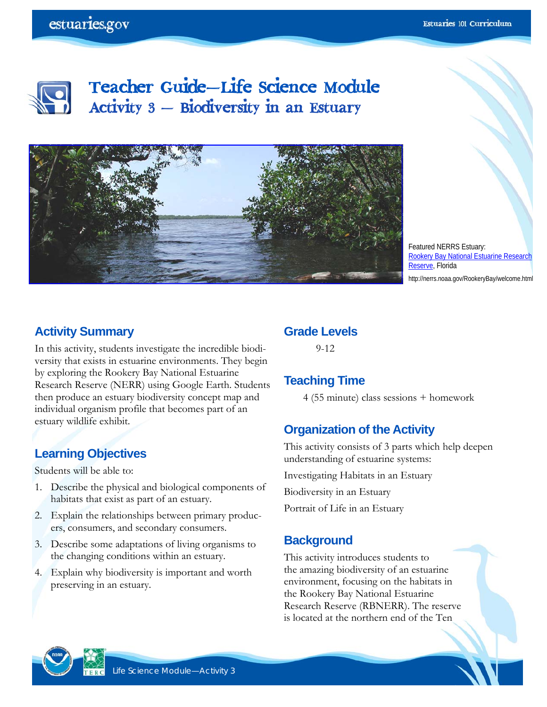

**Teacher Guide—Life Science Module Activity 3 — Biodiversity in an Estuary** 



Featured NERRS Estuary: Rookery Bay National Estuarine Research Reserve, Florida http://nerrs.noaa.gov/RookeryBay/welcome.html

## **Activity Summary**

In this activity, students investigate the incredible biodiversity that exists in estuarine environments. They begin by exploring the Rookery Bay National Estuarine Research Reserve (NERR) using Google Earth. Students then produce an estuary biodiversity concept map and individual organism profile that becomes part of an estuary wildlife exhibit.

## **Learning Objectives**

Students will be able to:

- 1. Describe the physical and biological components of habitats that exist as part of an estuary.
- 2. Explain the relationships between primary producers, consumers, and secondary consumers.
- 3. Describe some adaptations of living organisms to the changing conditions within an estuary.
- 4. Explain why biodiversity is important and worth preserving in an estuary.

#### **Grade Levels**

9-12

## **Teaching Time**

4 (55 minute) class sessions + homework

## **Organization of the Activity**

This activity consists of 3 parts which help deepen understanding of estuarine systems:

Investigating Habitats in an Estuary

Biodiversity in an Estuary

Portrait of Life in an Estuary

## **Background**

This activity introduces students to the amazing biodiversity of an estuarine environment, focusing on the habitats in the Rookery Bay National Estuarine Research Reserve (RBNERR). The reserve is located at the northern end of the Ten

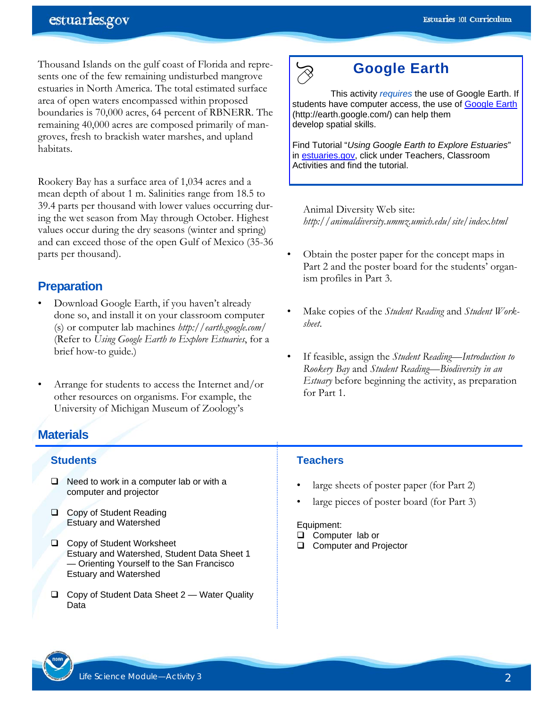Thousand Islands on the gulf coast of Florida and represents one of the few remaining undisturbed mangrove estuaries in North America. The total estimated surface area of open waters encompassed within proposed boundaries is 70,000 acres, 64 percent of RBNERR. The remaining 40,000 acres are composed primarily of mangroves, fresh to brackish water marshes, and upland habitats.

Rookery Bay has a surface area of 1,034 acres and a mean depth of about 1 m. Salinities range from 18.5 to 39.4 parts per thousand with lower values occurring during the wet season from May through October. Highest values occur during the dry seasons (winter and spring) and can exceed those of the open Gulf of Mexico (35-36 parts per thousand).

#### **Preparation**

- Download Google Earth, if you haven't already done so, and install it on your classroom computer (s) or computer lab machines *http://earth.google.com/* (Refer to *Using Google Earth to Explore Estuaries*, for a brief how-to guide.)
- Arrange for students to access the Internet and/or other resources on organisms. For example, the University of Michigan Museum of Zoology's

## **Google Earth**

This activity *requires* the use of Google Earth. If students have computer access, the use of Google Earth (http://earth.google.com/) can help them develop spatial skills.

Find Tutorial "*Using Google Earth to Explore Estuaries*" in estuaries.gov, click under Teachers, Classroom Activities and find the tutorial.

Animal Diversity Web site: *http://animaldiversity.ummz.umich.edu/site/index.html*

- Obtain the poster paper for the concept maps in Part 2 and the poster board for the students' organism profiles in Part 3.
- Make copies of the *Student Reading* and *Student Worksheet*.
- If feasible, assign the *Student Reading—Introduction to Rookery Bay* and *Student Reading—Biodiversity in an Estuary* before beginning the activity, as preparation for Part 1.

## **Materials**

#### **Students**

- $\Box$  Need to work in a computer lab or with a computer and projector
- □ Copy of Student Reading Estuary and Watershed
- □ Copy of Student Worksheet Estuary and Watershed, Student Data Sheet 1 — Orienting Yourself to the San Francisco Estuary and Watershed
- $\Box$  Copy of Student Data Sheet 2 Water Quality Data

#### **Teachers**

 $\gamma$ 

- large sheets of poster paper (for Part 2)
- large pieces of poster board (for Part 3)

#### Equipment:

- □ Computer lab or
- □ Computer and Projector

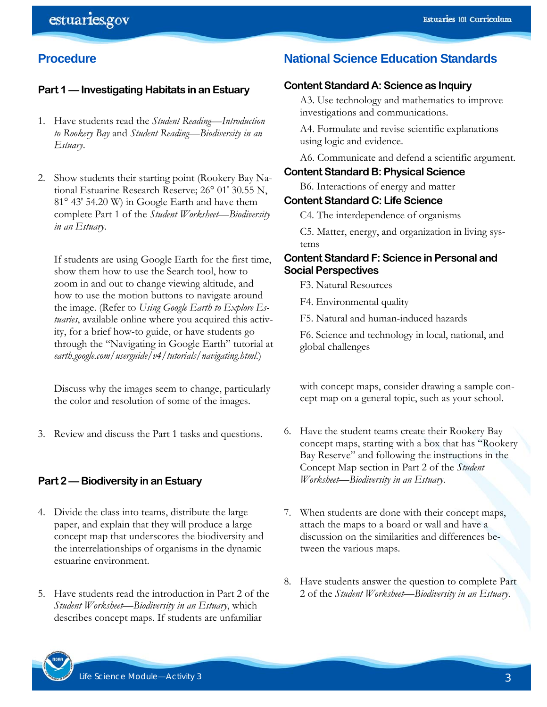## **Procedure**

#### **Part 1 — Investigating Habitats in an Estuary**

- 1. Have students read the *Student Reading—Introduction to Rookery Bay* and *Student Reading—Biodiversity in an Estuary*.
- 2. Show students their starting point (Rookery Bay National Estuarine Research Reserve; 26° 01' 30.55 N, 81° 43' 54.20 W) in Google Earth and have them complete Part 1 of the *Student Worksheet—Biodiversity in an Estuary*.

 If students are using Google Earth for the first time, show them how to use the Search tool, how to zoom in and out to change viewing altitude, and how to use the motion buttons to navigate around the image. (Refer to *Using Google Earth to Explore Estuaries*, available online where you acquired this activity, for a brief how-to guide, or have students go through the "Navigating in Google Earth" tutorial at *earth.google.com/userguide/v4/tutorials/navigating.html*.)

 Discuss why the images seem to change, particularly the color and resolution of some of the images.

3. Review and discuss the Part 1 tasks and questions.

#### **Part 2 — Biodiversity in an Estuary**

- 4. Divide the class into teams, distribute the large paper, and explain that they will produce a large concept map that underscores the biodiversity and the interrelationships of organisms in the dynamic estuarine environment.
- 5. Have students read the introduction in Part 2 of the *Student Worksheet—Biodiversity in an Estuary*, which describes concept maps. If students are unfamiliar

## **National Science Education Standards**

#### **Content Standard A: Science as Inquiry**

A3. Use technology and mathematics to improve investigations and communications.

A4. Formulate and revise scientific explanations using logic and evidence.

A6. Communicate and defend a scientific argument.

#### **Content Standard B: Physical Science**

B6. Interactions of energy and matter

#### **Content Standard C: Life Science**

C4. The interdependence of organisms

C5. Matter, energy, and organization in living systems

#### **Content Standard F: Science in Personal and Social Perspectives**

F3. Natural Resources

F4. Environmental quality

F5. Natural and human-induced hazards

F6. Science and technology in local, national, and global challenges

with concept maps, consider drawing a sample concept map on a general topic, such as your school.

- 6. Have the student teams create their Rookery Bay concept maps, starting with a box that has "Rookery Bay Reserve" and following the instructions in the Concept Map section in Part 2 of the *Student Worksheet—Biodiversity in an Estuary*.
- 7. When students are done with their concept maps, attach the maps to a board or wall and have a discussion on the similarities and differences between the various maps.
- 8. Have students answer the question to complete Part 2 of the *Student Worksheet—Biodiversity in an Estuary*.

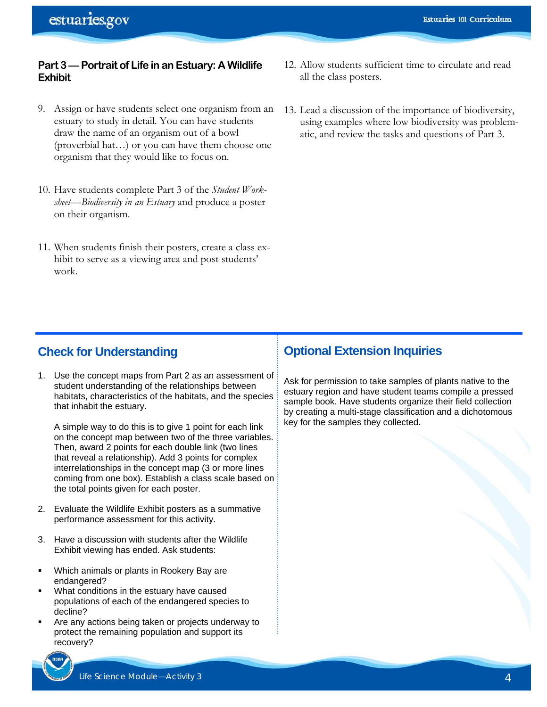#### **Part 3 — Portrait of Life in an Estuary: A Wildlife Exhibit**

- 9. Assign or have students select one organism from an estuary to study in detail. You can have students draw the name of an organism out of a bowl (proverbial hat…) or you can have them choose one organism that they would like to focus on.
- 10. Have students complete Part 3 of the *Student Worksheet—Biodiversity in an Estuary* and produce a poster on their organism.
- 11. When students finish their posters, create a class exhibit to serve as a viewing area and post students' work.
- 12. Allow students sufficient time to circulate and read all the class posters.
- 13. Lead a discussion of the importance of biodiversity, using examples where low biodiversity was problematic, and review the tasks and questions of Part 3.

## **Check for Understanding**

1. Use the concept maps from Part 2 as an assessment of student understanding of the relationships between habitats, characteristics of the habitats, and the species that inhabit the estuary.

A simple way to do this is to give 1 point for each link on the concept map between two of the three variables. Then, award 2 points for each double link (two lines that reveal a relationship). Add 3 points for complex interrelationships in the concept map (3 or more lines coming from one box). Establish a class scale based on the total points given for each poster.

- 2. Evaluate the Wildlife Exhibit posters as a summative performance assessment for this activity.
- 3. Have a discussion with students after the Wildlife Exhibit viewing has ended. Ask students:
- Which animals or plants in Rookery Bay are endangered?
- What conditions in the estuary have caused populations of each of the endangered species to decline?
- Are any actions being taken or projects underway to protect the remaining population and support its recovery?



## **Optional Extension Inquiries**

Ask for permission to take samples of plants native to the estuary region and have student teams compile a pressed sample book. Have students organize their field collection by creating a multi-stage classification and a dichotomous key for the samples they collected.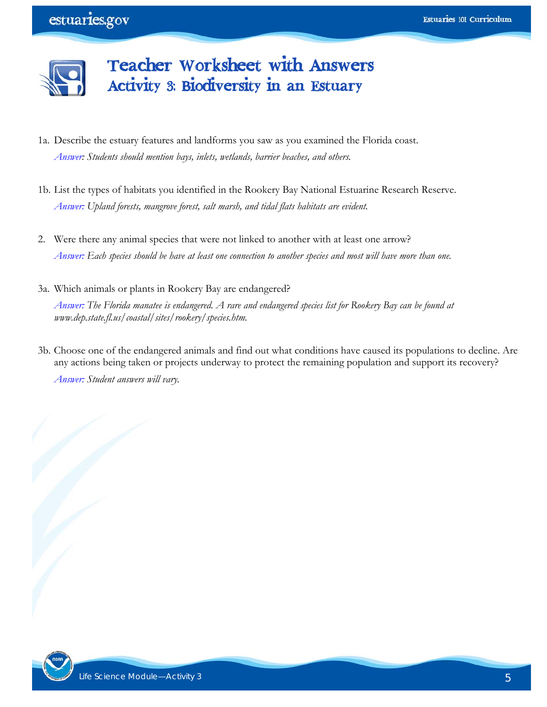

- 1a. Describe the estuary features and landforms you saw as you examined the Florida coast. *Answer: Students should mention bays, inlets, wetlands, barrier beaches, and others.*
- 1b. List the types of habitats you identified in the Rookery Bay National Estuarine Research Reserve. *Answer: Upland forests, mangrove forest, salt marsh, and tidal flats habitats are evident.*
- 2. Were there any animal species that were not linked to another with at least one arrow? *Answer: Each species should be have at least one connection to another species and most will have more than one.*
- 3a. Which animals or plants in Rookery Bay are endangered? *Answer: The Florida manatee is endangered. A rare and endangered species list for Rookery Bay can be found at www.dep.state.fl.us/coastal/sites/rookery/species.htm.*
- 3b. Choose one of the endangered animals and find out what conditions have caused its populations to decline. Are any actions being taken or projects underway to protect the remaining population and support its recovery? *Answer: Student answers will vary.*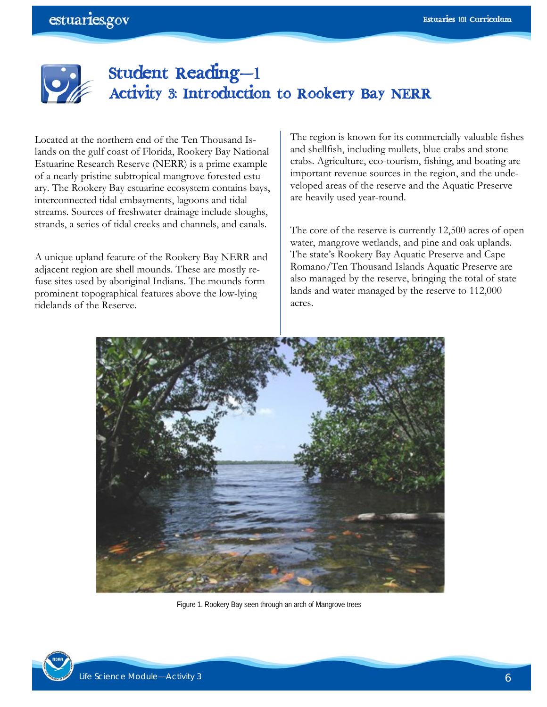# **Student Reading—1 Activity 3: Introduction to Rookery Bay NERR**

Located at the northern end of the Ten Thousand Islands on the gulf coast of Florida, Rookery Bay National Estuarine Research Reserve (NERR) is a prime example of a nearly pristine subtropical mangrove forested estuary. The Rookery Bay estuarine ecosystem contains bays, interconnected tidal embayments, lagoons and tidal streams. Sources of freshwater drainage include sloughs, strands, a series of tidal creeks and channels, and canals.

A unique upland feature of the Rookery Bay NERR and adjacent region are shell mounds. These are mostly refuse sites used by aboriginal Indians. The mounds form prominent topographical features above the low-lying tidelands of the Reserve.

The region is known for its commercially valuable fishes and shellfish, including mullets, blue crabs and stone crabs. Agriculture, eco-tourism, fishing, and boating are important revenue sources in the region, and the undeveloped areas of the reserve and the Aquatic Preserve are heavily used year-round.

The core of the reserve is currently 12,500 acres of open water, mangrove wetlands, and pine and oak uplands. The state's Rookery Bay Aquatic Preserve and Cape Romano/Ten Thousand Islands Aquatic Preserve are also managed by the reserve, bringing the total of state lands and water managed by the reserve to 112,000 acres.



Figure 1. Rookery Bay seen through an arch of Mangrove trees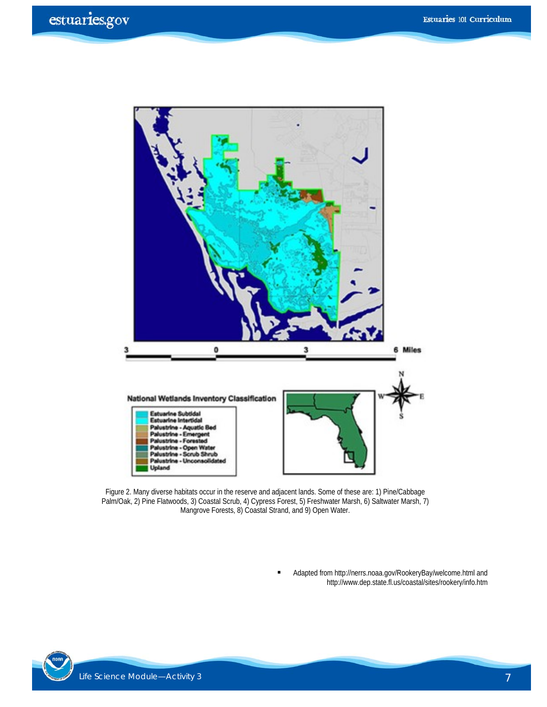

Figure 2. Many diverse habitats occur in the reserve and adjacent lands. Some of these are: 1) Pine/Cabbage Palm/Oak, 2) Pine Flatwoods, 3) Coastal Scrub, 4) Cypress Forest, 5) Freshwater Marsh, 6) Saltwater Marsh, 7) Mangrove Forests, 8) Coastal Strand, and 9) Open Water.

 Adapted from http://nerrs.noaa.gov/RookeryBay/welcome.html and http://www.dep.state.fl.us/coastal/sites/rookery/info.htm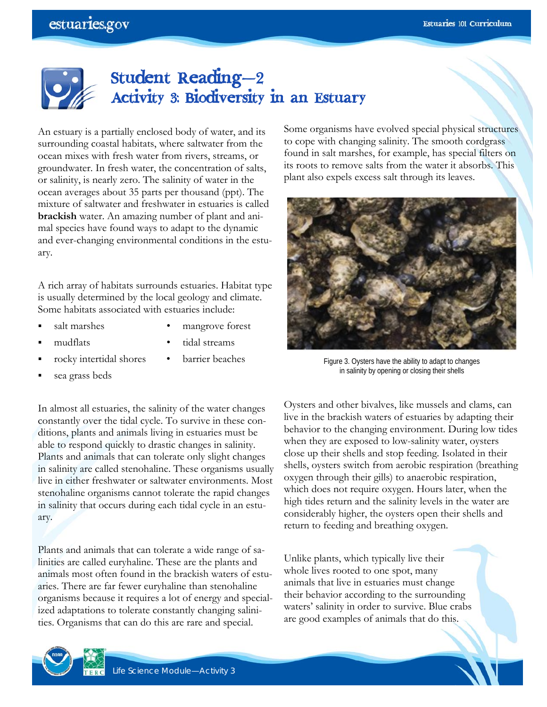# **Student Reading—2 Activity 3: Biodiversity in an Estuary**

An estuary is a partially enclosed body of water, and its surrounding coastal habitats, where saltwater from the ocean mixes with fresh water from rivers, streams, or groundwater. In fresh water, the concentration of salts, or salinity, is nearly zero. The salinity of water in the ocean averages about 35 parts per thousand (ppt). The mixture of saltwater and freshwater in estuaries is called **brackish** water. An amazing number of plant and animal species have found ways to adapt to the dynamic and ever-changing environmental conditions in the estuary.

A rich array of habitats surrounds estuaries. Habitat type is usually determined by the local geology and climate. Some habitats associated with estuaries include:

- 
- salt marshes mangrove forest
- mudflats tidal streams
- rocky intertidal shores barrier beaches
- 
- sea grass beds

In almost all estuaries, the salinity of the water changes constantly over the tidal cycle. To survive in these conditions, plants and animals living in estuaries must be able to respond quickly to drastic changes in salinity. Plants and animals that can tolerate only slight changes in salinity are called stenohaline. These organisms usually live in either freshwater or saltwater environments. Most stenohaline organisms cannot tolerate the rapid changes in salinity that occurs during each tidal cycle in an estuary.

Plants and animals that can tolerate a wide range of salinities are called euryhaline. These are the plants and animals most often found in the brackish waters of estuaries. There are far fewer euryhaline than stenohaline organisms because it requires a lot of energy and specialized adaptations to tolerate constantly changing salinities. Organisms that can do this are rare and special.

Some organisms have evolved special physical structures to cope with changing salinity. The smooth cordgrass found in salt marshes, for example, has special filters on its roots to remove salts from the water it absorbs. This plant also expels excess salt through its leaves.



Figure 3. Oysters have the ability to adapt to changes in salinity by opening or closing their shells

Oysters and other bivalves, like mussels and clams, can live in the brackish waters of estuaries by adapting their behavior to the changing environment. During low tides when they are exposed to low-salinity water, oysters close up their shells and stop feeding. Isolated in their shells, oysters switch from aerobic respiration (breathing oxygen through their gills) to anaerobic respiration, which does not require oxygen. Hours later, when the high tides return and the salinity levels in the water are considerably higher, the oysters open their shells and return to feeding and breathing oxygen.

Unlike plants, which typically live their whole lives rooted to one spot, many animals that live in estuaries must change their behavior according to the surrounding waters' salinity in order to survive. Blue crabs are good examples of animals that do this.

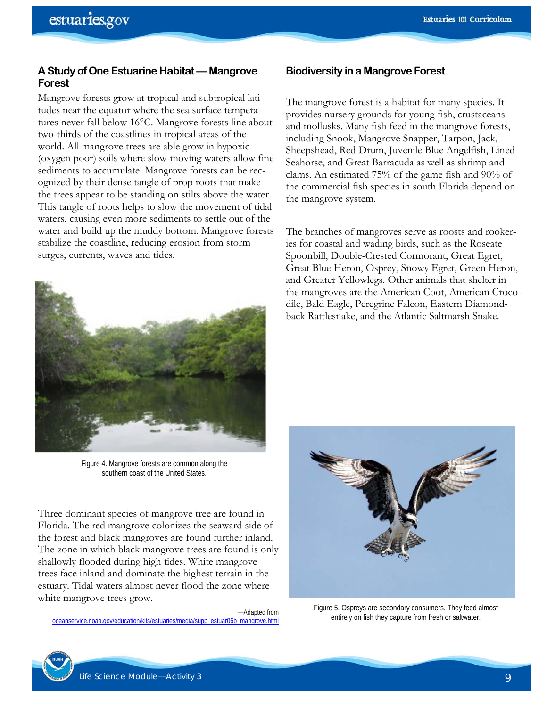#### **A Study of One Estuarine Habitat — Mangrove Forest**

Mangrove forests grow at tropical and subtropical latitudes near the equator where the sea surface temperatures never fall below 16°C. Mangrove forests line about two-thirds of the coastlines in tropical areas of the world. All mangrove trees are able grow in hypoxic (oxygen poor) soils where slow-moving waters allow fine sediments to accumulate. Mangrove forests can be recognized by their dense tangle of prop roots that make the trees appear to be standing on stilts above the water. This tangle of roots helps to slow the movement of tidal waters, causing even more sediments to settle out of the water and build up the muddy bottom. Mangrove forests stabilize the coastline, reducing erosion from storm surges, currents, waves and tides.



Figure 4. Mangrove forests are common along the southern coast of the United States.

Three dominant species of mangrove tree are found in Florida. The red mangrove colonizes the seaward side of the forest and black mangroves are found further inland. The zone in which black mangrove trees are found is only shallowly flooded during high tides. White mangrove trees face inland and dominate the highest terrain in the estuary. Tidal waters almost never flood the zone where white mangrove trees grow.

—Adapted from oceanservice.noaa.gov/education/kits/estuaries/media/supp\_estuar06b\_mangrove.html



The mangrove forest is a habitat for many species. It provides nursery grounds for young fish, crustaceans and mollusks. Many fish feed in the mangrove forests, including Snook, Mangrove Snapper, Tarpon, Jack, Sheepshead, Red Drum, Juvenile Blue Angelfish, Lined Seahorse, and Great Barracuda as well as shrimp and clams. An estimated 75% of the game fish and 90% of the commercial fish species in south Florida depend on the mangrove system.

The branches of mangroves serve as roosts and rookeries for coastal and wading birds, such as the Roseate Spoonbill, Double-Crested Cormorant, Great Egret, Great Blue Heron, Osprey, Snowy Egret, Green Heron, and Greater Yellowlegs. Other animals that shelter in the mangroves are the American Coot, American Crocodile, Bald Eagle, Peregrine Falcon, Eastern Diamondback Rattlesnake, and the Atlantic Saltmarsh Snake.



Figure 5. Ospreys are secondary consumers. They feed almost entirely on fish they capture from fresh or saltwater.

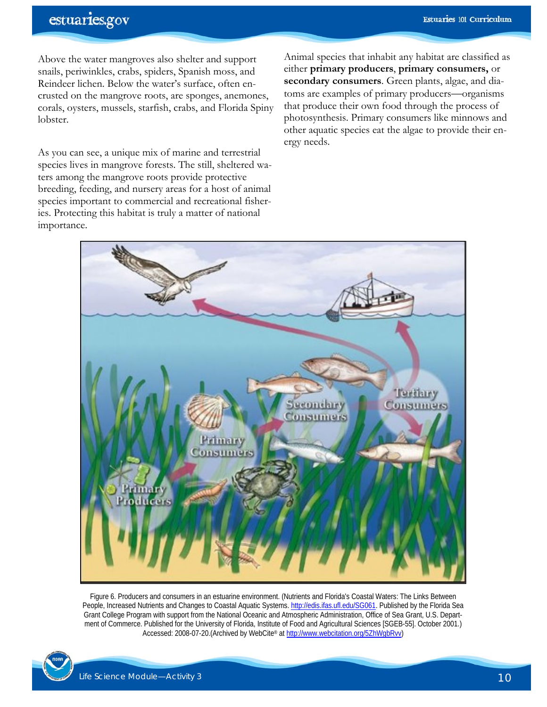Above the water mangroves also shelter and support snails, periwinkles, crabs, spiders, Spanish moss, and Reindeer lichen. Below the water's surface, often encrusted on the mangrove roots, are sponges, anemones, corals, oysters, mussels, starfish, crabs, and Florida Spiny lobster.

As you can see, a unique mix of marine and terrestrial species lives in mangrove forests. The still, sheltered waters among the mangrove roots provide protective breeding, feeding, and nursery areas for a host of animal species important to commercial and recreational fisheries. Protecting this habitat is truly a matter of national importance.

Animal species that inhabit any habitat are classified as either **primary producers**, **primary consumers,** or **secondary consumers**. Green plants, algae, and diatoms are examples of primary producers—organisms that produce their own food through the process of photosynthesis. Primary consumers like minnows and other aquatic species eat the algae to provide their energy needs.



Figure 6. Producers and consumers in an estuarine environment. (Nutrients and Florida's Coastal Waters: The Links Between People, Increased Nutrients and Changes to Coastal Aquatic Systems. http://edis.ifas.ufl.edu/SG061. Published by the Florida Sea Grant College Program with support from the National Oceanic and Atmospheric Administration, Office of Sea Grant, U.S. Department of Commerce. Published for the University of Florida, Institute of Food and Agricultural Sciences [SGEB-55]. October 2001.) Accessed: 2008-07-20.(Archived by WebCite® at http://www.webcitation.org/5ZhWgbRvv)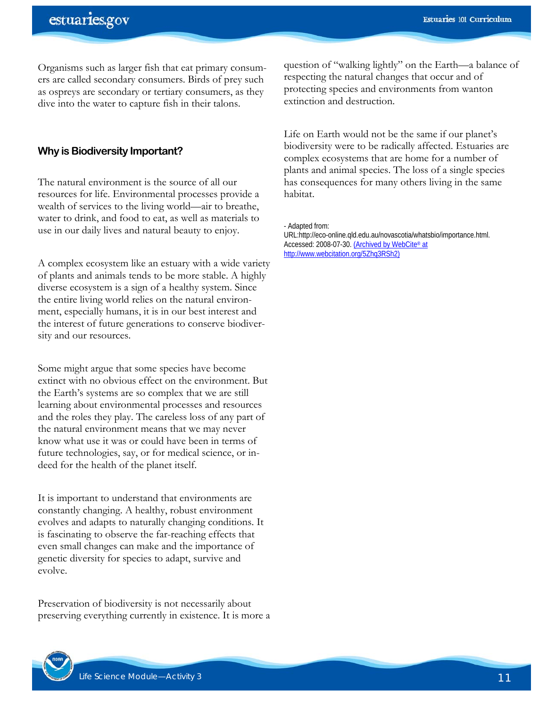Organisms such as larger fish that eat primary consumers are called secondary consumers. Birds of prey such as ospreys are secondary or tertiary consumers, as they dive into the water to capture fish in their talons.

#### **Why is Biodiversity Important?**

The natural environment is the source of all our resources for life. Environmental processes provide a wealth of services to the living world—air to breathe, water to drink, and food to eat, as well as materials to use in our daily lives and natural beauty to enjoy.

A complex ecosystem like an estuary with a wide variety of plants and animals tends to be more stable. A highly diverse ecosystem is a sign of a healthy system. Since the entire living world relies on the natural environment, especially humans, it is in our best interest and the interest of future generations to conserve biodiversity and our resources.

Some might argue that some species have become extinct with no obvious effect on the environment. But the Earth's systems are so complex that we are still learning about environmental processes and resources and the roles they play. The careless loss of any part of the natural environment means that we may never know what use it was or could have been in terms of future technologies, say, or for medical science, or indeed for the health of the planet itself.

It is important to understand that environments are constantly changing. A healthy, robust environment evolves and adapts to naturally changing conditions. It is fascinating to observe the far-reaching effects that even small changes can make and the importance of genetic diversity for species to adapt, survive and evolve.

Preservation of biodiversity is not necessarily about preserving everything currently in existence. It is more a



Life on Earth would not be the same if our planet's biodiversity were to be radically affected. Estuaries are complex ecosystems that are home for a number of plants and animal species. The loss of a single species has consequences for many others living in the same habitat.

- Adapted from:

URL:http://eco-online.qld.edu.au/novascotia/whatsbio/importance.html. Accessed: 2008-07-30. (Archived by WebCite® at http://www.webcitation.org/5Zhq3RSh2)

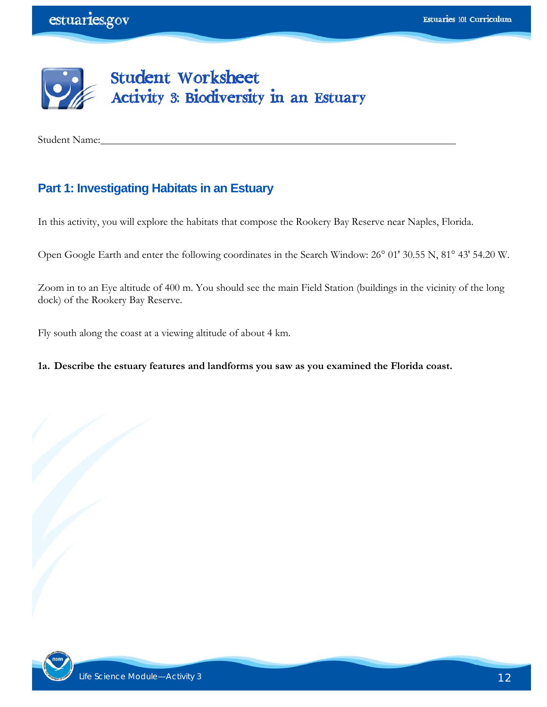

Student Name:

### **Part 1: Investigating Habitats in an Estuary**

In this activity, you will explore the habitats that compose the Rookery Bay Reserve near Naples, Florida.

Open Google Earth and enter the following coordinates in the Search Window: 26° 01' 30.55 N, 81° 43' 54.20 W.

Zoom in to an Eye altitude of 400 m. You should see the main Field Station (buildings in the vicinity of the long dock) of the Rookery Bay Reserve.

Fly south along the coast at a viewing altitude of about 4 km.

#### **1a. Describe the estuary features and landforms you saw as you examined the Florida coast.**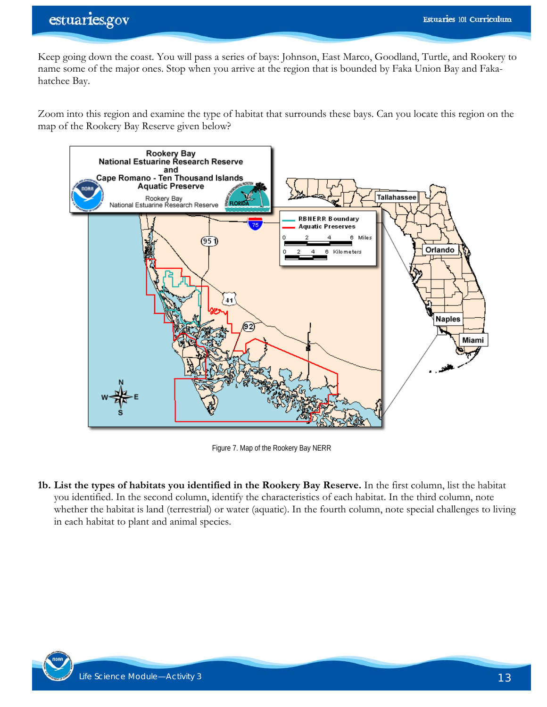Keep going down the coast. You will pass a series of bays: Johnson, East Marco, Goodland, Turtle, and Rookery to name some of the major ones. Stop when you arrive at the region that is bounded by Faka Union Bay and Fakahatchee Bay.

Zoom into this region and examine the type of habitat that surrounds these bays. Can you locate this region on the map of the Rookery Bay Reserve given below?



Figure 7. Map of the Rookery Bay NERR

**1b. List the types of habitats you identified in the Rookery Bay Reserve.** In the first column, list the habitat you identified. In the second column, identify the characteristics of each habitat. In the third column, note whether the habitat is land (terrestrial) or water (aquatic). In the fourth column, note special challenges to living in each habitat to plant and animal species.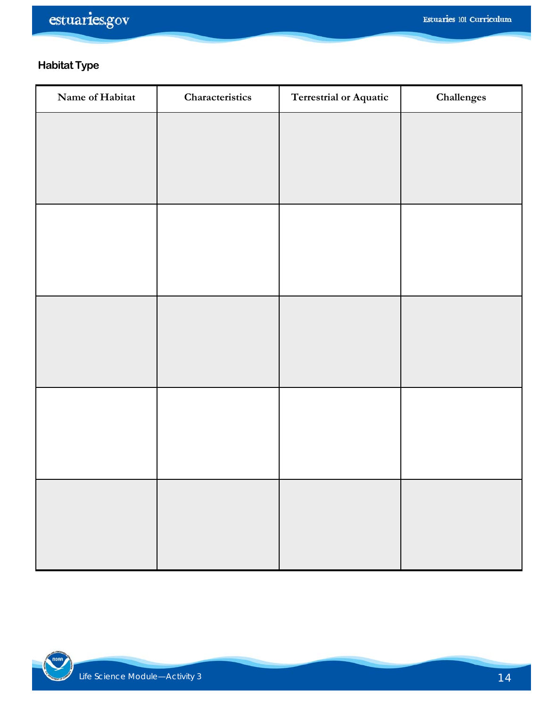### **Habitat Type**

| Name of Habitat | Characteristics | <b>Terrestrial or Aquatic</b> | Challenges |
|-----------------|-----------------|-------------------------------|------------|
|                 |                 |                               |            |
|                 |                 |                               |            |
|                 |                 |                               |            |
|                 |                 |                               |            |
|                 |                 |                               |            |
|                 |                 |                               |            |
|                 |                 |                               |            |
|                 |                 |                               |            |
|                 |                 |                               |            |
|                 |                 |                               |            |
|                 |                 |                               |            |
|                 |                 |                               |            |
|                 |                 |                               |            |
|                 |                 |                               |            |
|                 |                 |                               |            |

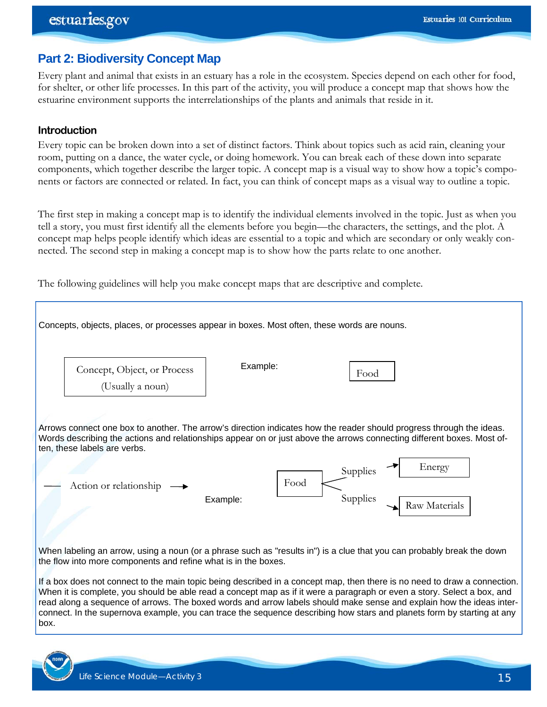## **Part 2: Biodiversity Concept Map**

Every plant and animal that exists in an estuary has a role in the ecosystem. Species depend on each other for food, for shelter, or other life processes. In this part of the activity, you will produce a concept map that shows how the estuarine environment supports the interrelationships of the plants and animals that reside in it.

#### **Introduction**

Every topic can be broken down into a set of distinct factors. Think about topics such as acid rain, cleaning your room, putting on a dance, the water cycle, or doing homework. You can break each of these down into separate components, which together describe the larger topic. A concept map is a visual way to show how a topic's components or factors are connected or related. In fact, you can think of concept maps as a visual way to outline a topic.

The first step in making a concept map is to identify the individual elements involved in the topic. Just as when you tell a story, you must first identify all the elements before you begin—the characters, the settings, and the plot. A concept map helps people identify which ideas are essential to a topic and which are secondary or only weakly connected. The second step in making a concept map is to show how the parts relate to one another.

The following guidelines will help you make concept maps that are descriptive and complete.

|      | Concepts, objects, places, or processes appear in boxes. Most often, these words are nouns.                                                                                                                                                                                    |          |                  |                                                                                                                                                                                                                                                                                                                                                                                                                                                                                                        |
|------|--------------------------------------------------------------------------------------------------------------------------------------------------------------------------------------------------------------------------------------------------------------------------------|----------|------------------|--------------------------------------------------------------------------------------------------------------------------------------------------------------------------------------------------------------------------------------------------------------------------------------------------------------------------------------------------------------------------------------------------------------------------------------------------------------------------------------------------------|
|      | Concept, Object, or Process<br>(Usually a noun)                                                                                                                                                                                                                                | Example: | Food             |                                                                                                                                                                                                                                                                                                                                                                                                                                                                                                        |
|      | Arrows connect one box to another. The arrow's direction indicates how the reader should progress through the ideas.<br>Words describing the actions and relationships appear on or just above the arrows connecting different boxes. Most of-<br>ten, these labels are verbs. |          |                  |                                                                                                                                                                                                                                                                                                                                                                                                                                                                                                        |
|      | Action or relationship                                                                                                                                                                                                                                                         |          | Supplies<br>Food | Energy                                                                                                                                                                                                                                                                                                                                                                                                                                                                                                 |
|      |                                                                                                                                                                                                                                                                                | Example: | Supplies         | <b>Raw Materials</b>                                                                                                                                                                                                                                                                                                                                                                                                                                                                                   |
|      | When labeling an arrow, using a noun (or a phrase such as "results in") is a clue that you can probably break the down<br>the flow into more components and refine what is in the boxes.                                                                                       |          |                  |                                                                                                                                                                                                                                                                                                                                                                                                                                                                                                        |
| box. |                                                                                                                                                                                                                                                                                |          |                  | If a box does not connect to the main topic being described in a concept map, then there is no need to draw a connection.<br>When it is complete, you should be able read a concept map as if it were a paragraph or even a story. Select a box, and<br>read along a sequence of arrows. The boxed words and arrow labels should make sense and explain how the ideas inter-<br>connect. In the supernova example, you can trace the sequence describing how stars and planets form by starting at any |

Life Science Module—Activity 3 15 15 15 16 17 17 17 17 17 17 17 17 17 17 17 17 18 18 19 19 10 11 11 11 11 11 1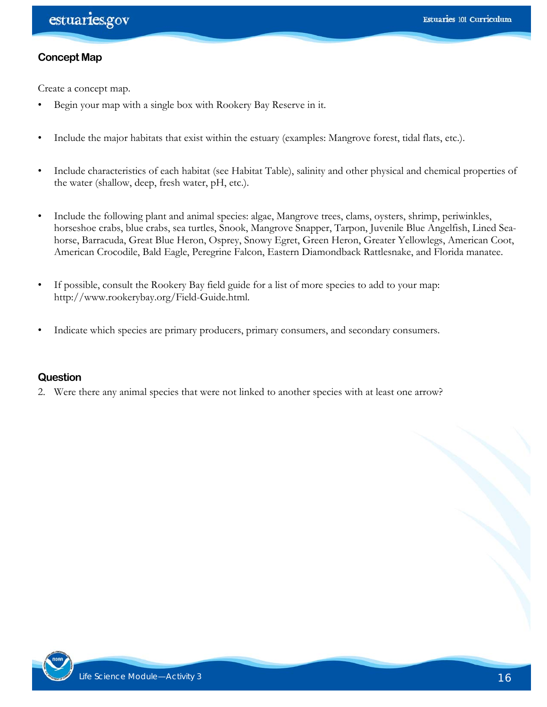#### **Concept Map**

Create a concept map.

- Begin your map with a single box with Rookery Bay Reserve in it.
- Include the major habitats that exist within the estuary (examples: Mangrove forest, tidal flats, etc.).
- Include characteristics of each habitat (see Habitat Table), salinity and other physical and chemical properties of the water (shallow, deep, fresh water, pH, etc.).
- Include the following plant and animal species: algae, Mangrove trees, clams, oysters, shrimp, periwinkles, horseshoe crabs, blue crabs, sea turtles, Snook, Mangrove Snapper, Tarpon, Juvenile Blue Angelfish, Lined Seahorse, Barracuda, Great Blue Heron, Osprey, Snowy Egret, Green Heron, Greater Yellowlegs, American Coot, American Crocodile, Bald Eagle, Peregrine Falcon, Eastern Diamondback Rattlesnake, and Florida manatee.
- If possible, consult the Rookery Bay field guide for a list of more species to add to your map: http://www.rookerybay.org/Field-Guide.html.
- Indicate which species are primary producers, primary consumers, and secondary consumers.

#### **Question**

2. Were there any animal species that were not linked to another species with at least one arrow?